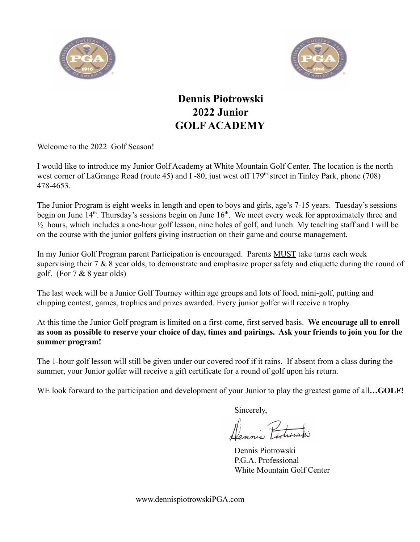



## **Dennis Piotrowski 2022 Junior GOLF ACADEMY**

Welcome to the 2022 Golf Season!

I would like to introduce my Junior Golf Academy at White Mountain Golf Center. The location is the north west corner of LaGrange Road (route 45) and I -80, just west off 179<sup>th</sup> street in Tinley Park, phone (708) 478-4653.

The Junior Program is eight weeks in length and open to boys and girls, age's 7-15 years. Tuesday's sessions begin on June  $14<sup>th</sup>$ . Thursday's sessions begin on June  $16<sup>th</sup>$ . We meet every week for approximately three and ½ hours, which includes a one-hour golf lesson, nine holes of golf, and lunch. My teaching staff and I will be on the course with the junior golfers giving instruction on their game and course management.

In my Junior Golf Program parent Participation is encouraged. Parents MUST take turns each week supervising their 7 & 8 year olds, to demonstrate and emphasize proper safety and etiquette during the round of golf. (For 7 & 8 year olds)

The last week will be a Junior Golf Tourney within age groups and lots of food, mini-golf, putting and chipping contest, games, trophies and prizes awarded. Every junior golfer will receive a trophy.

At this time the Junior Golf program is limited on a first-come, first served basis. **We encourage all to enroll as soon as possible to reserve your choice of day, times and pairings. Ask your friends to join you for the summer program!**

The 1-hour golf lesson will still be given under our covered roof if it rains. If absent from a class during the summer, your Junior golfer will receive a gift certificate for a round of golf upon his return.

WE look forward to the participation and development of your Junior to play the greatest game of all...GOLF!

Sincerely,

Navnie Picture

Dennis Piotrowski P.G.A. Professional White Mountain Golf Center

www.dennispiotrowskiPGA.com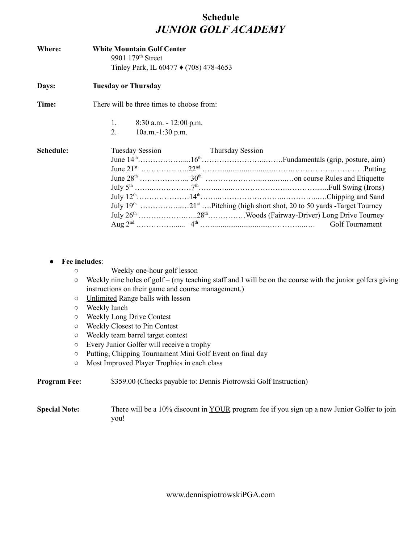## **Schedule** *JUNIOR GOLF ACADEMY*

| Where:    | <b>White Mountain Golf Center</b><br>9901 179 <sup>th</sup> Street<br>Tinley Park, IL 60477 ♦ (708) 478-4653 |  |                  |  |  |  |
|-----------|--------------------------------------------------------------------------------------------------------------|--|------------------|--|--|--|
| Days:     | <b>Tuesday or Thursday</b>                                                                                   |  |                  |  |  |  |
| Time:     | There will be three times to choose from:                                                                    |  |                  |  |  |  |
|           | $8:30$ a.m. $-12:00$ p.m.<br>1.<br>2.<br>$10a.m.-1:30 p.m.$                                                  |  |                  |  |  |  |
| Schedule: | <b>Tuesday Session</b>                                                                                       |  | Thursday Session |  |  |  |
|           |                                                                                                              |  |                  |  |  |  |
|           |                                                                                                              |  |                  |  |  |  |
|           |                                                                                                              |  |                  |  |  |  |
|           |                                                                                                              |  |                  |  |  |  |
|           |                                                                                                              |  |                  |  |  |  |
|           |                                                                                                              |  |                  |  |  |  |
|           |                                                                                                              |  |                  |  |  |  |
|           |                                                                                                              |  | Golf Tournament  |  |  |  |

## ● **Fee includes**:

- Weekly one-hour golf lesson
- Weekly nine holes of golf (my teaching staff and I will be on the course with the junior golfers giving instructions on their game and course management.)
- Unlimited Range balls with lesson
- Weekly lunch
- Weekly Long Drive Contest
- Weekly Closest to Pin Contest
- Weekly team barrel target contest
- Every Junior Golfer will receive a trophy
- Putting, Chipping Tournament Mini Golf Event on final day
- Most Improved Player Trophies in each class

**Program Fee:** \$359.00 (Checks payable to: Dennis Piotrowski Golf Instruction)

**Special Note:** There will be a 10% discount in YOUR program fee if you sign up a new Junior Golfer to join you!